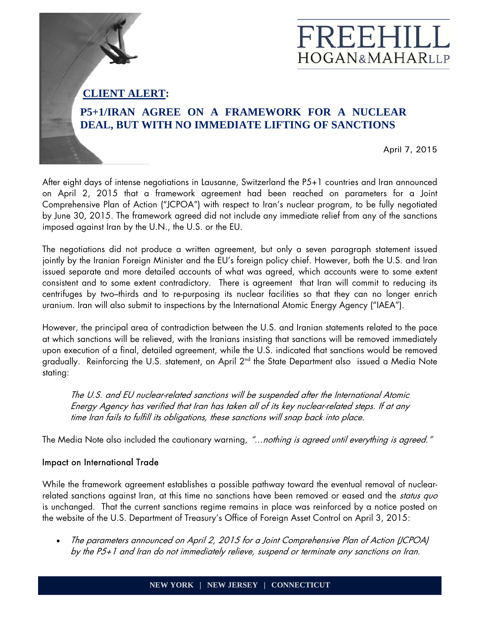## **CLIENT ALERT:**

## **P5+1/IRAN AGREE ON A FRAMEWORK FOR A NUCLEAR DEAL, BUT WITH NO IMMEDIATE LIFTING OF SANCTIONS**

April 7, 2015

FREEHIL

**HOGAN&MAHARLLP** 

After eight days of intense negotiations in Lausanne, Switzerland the P5+1 countries and Iran announced on April 2, 2015 that a framework agreement had been reached on parameters for a Joint Comprehensive Plan of Action ("JCPOA") with respect to Iran's nuclear program, to be fully negotiated by June 30, 2015. The framework agreed did not include any immediate relief from any of the sanctions imposed against Iran by the U.N., the U.S. or the EU.

The negotiations did not produce a written agreement, but only a seven paragraph statement issued jointly by the Iranian Foreign Minister and the EU's foreign policy chief. However, both the U.S. and Iran issued separate and more detailed accounts of what was agreed, which accounts were to some extent consistent and to some extent contradictory. There is agreement that Iran will commit to reducing its centrifuges by two–thirds and to re-purposing its nuclear facilities so that they can no longer enrich uranium. Iran will also submit to inspections by the International Atomic Energy Agency ("IAEA").

However, the principal area of contradiction between the U.S. and Iranian statements related to the pace at which sanctions will be relieved, with the Iranians insisting that sanctions will be removed immediately upon execution of a final, detailed agreement, while the U.S. indicated that sanctions would be removed gradually. Reinforcing the U.S. statement, on April 2<sup>nd</sup> the State Department also issued a Media Note stating:

The U.S. and EU nuclear-related sanctions will be suspended after the International Atomic Energy Agency has verified that Iran has taken all of its key nuclear-related steps. If at any time Iran fails to fulfill its obligations, these sanctions will snap back into place.

The Media Note also included the cautionary warning, "...nothing is agreed until everything is agreed."

## Impact on International Trade

While the framework agreement establishes a possible pathway toward the eventual removal of nuclearrelated sanctions against Iran, at this time no sanctions have been removed or eased and the *status quo* is unchanged. That the current sanctions regime remains in place was reinforced by a notice posted on the website of the U.S. Department of Treasury's Office of Foreign Asset Control on April 3, 2015:

 The parameters announced on April 2, 2015 for a Joint Comprehensive Plan of Action (JCPOA) by the P5+1 and Iran do not immediately relieve, suspend or terminate any sanctions on Iran.